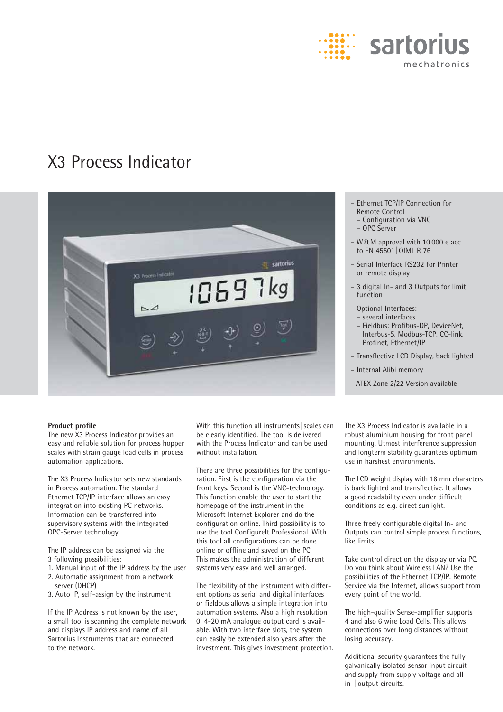

# X3 Process Indicator



#### **Product profile**

The new X3 Process Indicator provides an easy and reliable solution for process hopper scales with strain gauge load cells in process automation applications.

The X3 Process Indicator sets new standards in Process automation. The standard Ethernet TCP/IP interface allows an easy integration into existing PC networks. Information can be transferred into supervisory systems with the integrated OPC-Server technology.

The IP address can be assigned via the 3 following possibilities:

- 1. Manual input of the IP address by the user 2. Automatic assignment from a network
- server (DHCP) 3. Auto IP, self-assign by the instrument

If the IP Address is not known by the user, a small tool is scanning the complete network and displays IP address and name of all Sartorius Instruments that are connected to the network.

With this function all instruments | scales can be clearly identified. The tool is delivered with the Process Indicator and can be used without installation.

There are three possibilities for the configuration. First is the configuration via the front keys. Second is the VNC-technology. This function enable the user to start the homepage of the instrument in the Microsoft Internet Explorer and do the configuration online. Third possibility is to use the tool ConfigureIt Professional. With this tool all configurations can be done online or offline and saved on the PC. This makes the administration of different systems very easy and well arranged.

The flexibility of the instrument with different options as serial and digital interfaces or fieldbus allows a simple integration into automation systems. Also a high resolution  $0 \mid 4-20$  mA analogue output card is available. With two interface slots, the system can easily be extended also years after the investment. This gives investment protection.

- Ethernet TCP/IP Connection for Remote Control
- Configuration via VNC
- OPC Server
- W & M approval with 10.000 e acc. to EN 45501 | OIML R 76
- Serial Interface RS232 for Printer or remote display
- 3 digital In- and 3 Outputs for limit function
- Optional Interfaces: – several interfaces
	- Fieldbus: Profibus-DP, DeviceNet, Interbus-S, Modbus-TCP, CC-link, Profinet, Ethernet/IP
- Transflective LCD Display, back lighted
- Internal Alibi memory
- ATEX Zone 2/22 Version available

The X3 Process Indicator is available in a robust aluminium housing for front panel mounting. Utmost interference suppression and longterm stability guarantees optimum use in harshest environments.

The LCD weight display with 18 mm characters is back lighted and transflective. It allows a good readability even under difficult conditions as e.g. direct sunlight.

Three freely configurable digital In- and Outputs can control simple process functions, like limits.

Take control direct on the display or via PC. Do you think about Wireless LAN? Use the possibilities of the Ethernet TCP/IP. Remote Service via the Internet, allows support from every point of the world.

The high-quality Sense-amplifier supports 4 and also 6 wire Load Cells. This allows connections over long distances without losing accuracy.

Additional security guarantees the fully galvanically isolated sensor input circuit and supply from supply voltage and all in- | output circuits.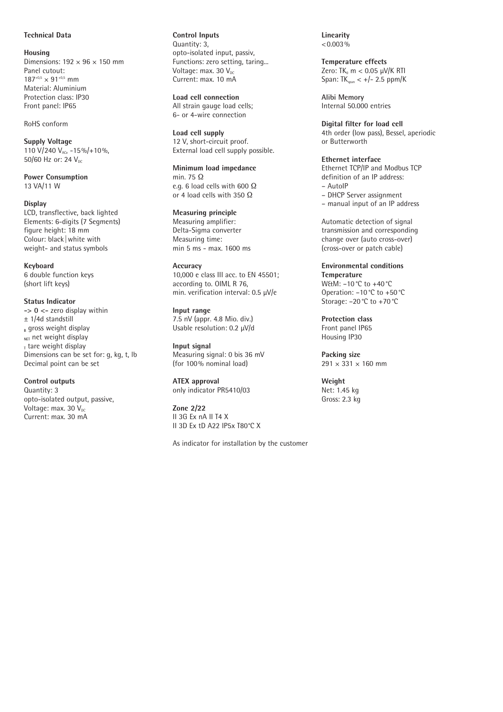## **Technical Data**

**Housing** Dimensions:  $192 \times 96 \times 150$  mm Panel cutout:  $187^{+0.5} \times 91^{+0.5}$  mm Material: Aluminium Protection class: IP30 Front panel: IP65

RoHS conform

**Supply Voltage** 110 V/240  $V_{AC}$  -15%/+10%, 50/60 Hz or: 24  $V_{\text{nc}}$ 

**Power Consumption** 13 VA/11 W

#### **Display**

LCD, transflective, back lighted Elements: 6-digits (7 Segments) figure height: 18 mm Colour: black | white with weight- and status symbols

**Keyboard** 6 double function keys (short lift keys)

## **Status Indicator**

**-> 0 <-** zero display within ± 1/4d standstill **<sup>B</sup>** gross weight display NET net weight display **<sup>T</sup>** tare weight display Dimensions can be set for: g, kg, t, lb Decimal point can be set

**Control outputs** Quantity: 3

opto-isolated output, passive, Voltage: max. 30  $V_{\text{DC}}$ Current: max. 30 mA

**Control Inputs** Quantity: 3, opto-isolated input, passiv, Functions: zero setting, taring... Voltage:  $max. 30 V_{oc}$ Current: max. 10 mA

**Load cell connection** All strain gauge load cells; 6- or 4-wire connection

**Load cell supply** 12 V, short-circuit proof. External load cell supply possible.

**Minimum load impedance** min. 75 O e.g. 6 load cells with 600  $\Omega$ or 4 load cells with 350  $\Omega$ 

**Measuring principle** Measuring amplifier: Delta-Sigma converter Measuring time: min 5 ms - max. 1600 ms

## **Accuracy**

10,000 e class III acc. to EN 45501; according to. OIML R 76, min. verification interval: 0.5 μV/e

**Input range** 7.5 nV (appr. 4.8 Mio. div.) Usable resolution: 0.2 μV/d

**Input signal** Measuring signal: 0 bis 36 mV (for 100 % nominal load)

**ATEX approval** only indicator PR5410/03

**Zone 2/22** II 3G Ex nA II T4 X II 3D Ex tD A22 IP5x T80°C X

As indicator for installation by the customer

**Linearity**  $\leq 0.003\%$ 

**Temperature effects** Zero: TK $<sub>0</sub>$  m  $<$  0.05 μV/K RTI</sub> Span:  $TK_{\text{scan}} < +/- 2.5$  ppm/K

**Alibi Memory** Internal 50.000 entries

**Digital filter for load cell**  4th order (low pass), Bessel, aperiodic or Butterworth

**Ethernet interface** Ethernet TCP/IP and Modbus TCP definition of an IP address: – AutoIP – DHCP Server assignment

– manual input of an IP address

Automatic detection of signal transmission and corresponding change over (auto cross-over) (cross-over or patch cable)

**Environmental conditions Temperature** W&M: –10 °C to +40 °C Operation: –10 °C to +50 °C Storage: –20 °C to +70 °C

**Protection class** Front panel IP65 Housing IP30

**Packing size**  $291 \times 331 \times 160$  mm

**Weight** Net: 1.45 kg Gross: 2.3 kg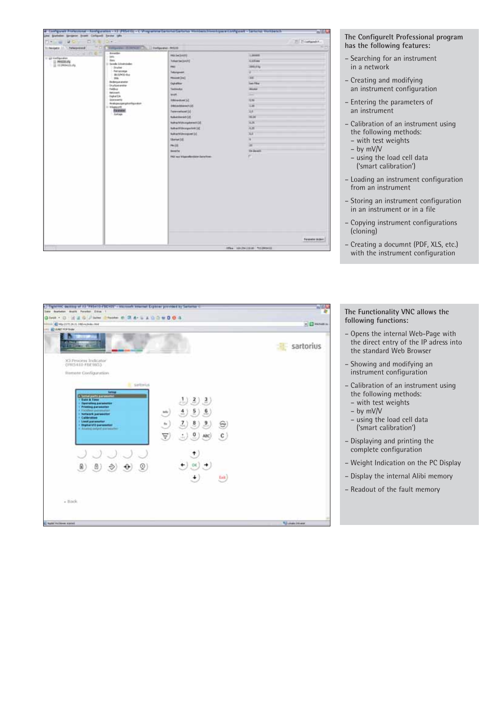| Line Statistics Sergeon front Collapsit Easter Mix                 |                                                                                                                                                                                                                                                                                                                          | Configurati Frontienness Changuisteen - XI (FRS+10) - Companies Sancros Sancros Holdano HoolingacalConfigurati - Sancros (Woldano S                                                                                                                                                                                                                                                                   |                                                                                                                                                                                   | WAL            |
|--------------------------------------------------------------------|--------------------------------------------------------------------------------------------------------------------------------------------------------------------------------------------------------------------------------------------------------------------------------------------------------------------------|-------------------------------------------------------------------------------------------------------------------------------------------------------------------------------------------------------------------------------------------------------------------------------------------------------------------------------------------------------------------------------------------------------|-----------------------------------------------------------------------------------------------------------------------------------------------------------------------------------|----------------|
| 皿                                                                  | 百米町のキュー                                                                                                                                                                                                                                                                                                                  |                                                                                                                                                                                                                                                                                                                                                                                                       |                                                                                                                                                                                   | TI Ziomarchi.  |
| St Negatic 31. 1 Peterprinted                                      | THROWN ISSUED TO CHANGE WILS                                                                                                                                                                                                                                                                                             |                                                                                                                                                                                                                                                                                                                                                                                                       |                                                                                                                                                                                   | $-1$           |
| Silen e-<br>IT WE Kertigunation<br>(i) Mestaculay<br>il coresenata | <b>Investor</b><br>in.<br>they<br>Christian Edmontonian<br><b>Trube</b><br>Perceivoide<br><b>BUNDEN</b><br>IP66.<br><b>Brockergust arounder</b><br>Distipalmeter<br><b>Fuldus</b><br><b>Baltimerit</b><br>Duta/DA<br>Description<br>Realisian aspeculture from store<br>(c) Wingmorth<br><b>Expense</b><br><b>Autour</b> | <b>MAIN(SHATE)</b><br>Tutique See (simply)<br><b>HALL</b><br>Tokergovern<br><b>Photosk [ma]</b><br>Outsides<br>Testimokal<br>was.<br><b>Silveduar</b> [v]<br><b>SREADSHIPS CE</b><br><b>Televisioni (2)</b><br>NAMERHOUS CO.<br>National Multipurgation with DAT.<br>talnetti tringentett [d]<br>New Yellow power (2)<br>Userwick 3.0<br><b>Hydre</b><br><b>Beache</b><br>Mil. au Vascolanier lanches | 1,00000<br>1,47.84<br><b>THEFT</b><br>u.<br><b>VET</b><br><b>List Filter</b><br><b>MAINA</b><br>⋍<br>5, 56<br>Lie<br>×.<br>mar<br>31,787<br>4.20<br>×<br>×<br>×<br>Th dealer<br>m |                |
|                                                                    |                                                                                                                                                                                                                                                                                                                          |                                                                                                                                                                                                                                                                                                                                                                                                       |                                                                                                                                                                                   | Faranter dober |

### **The Configurelt Professional program has the following features:**

- Searching for an instrument in a network
- Creating and modifying an instrument configuration
- Entering the parameters of an instrument
- Calibration of an instrument using the following methods: – with test weights
	-
	- by mV/V
	- using the load cell data ('smart calibration')
- Loading an instrument configuration from an instrument
- Storing an instrument configuration in an instrument or in a file
- Copying instrument configurations (cloning)
- Creating a documnt (PDF, XLS, etc.) with the instrument configuration



**The Functionality VNC allows the following functions:**

- Opens the internal Web-Page with the direct entry of the IP adress into the standard Web Browser
- Showing and modifying an instrument configuration
- Calibration of an instrument using the following methods:
	- with test weights
	- by mV/V
	- using the load cell data ('smart calibration')
- Displaying and printing the complete configuration
- Weight Indication on the PC Display
- Display the internal Alibi memory
- Readout of the fault memory